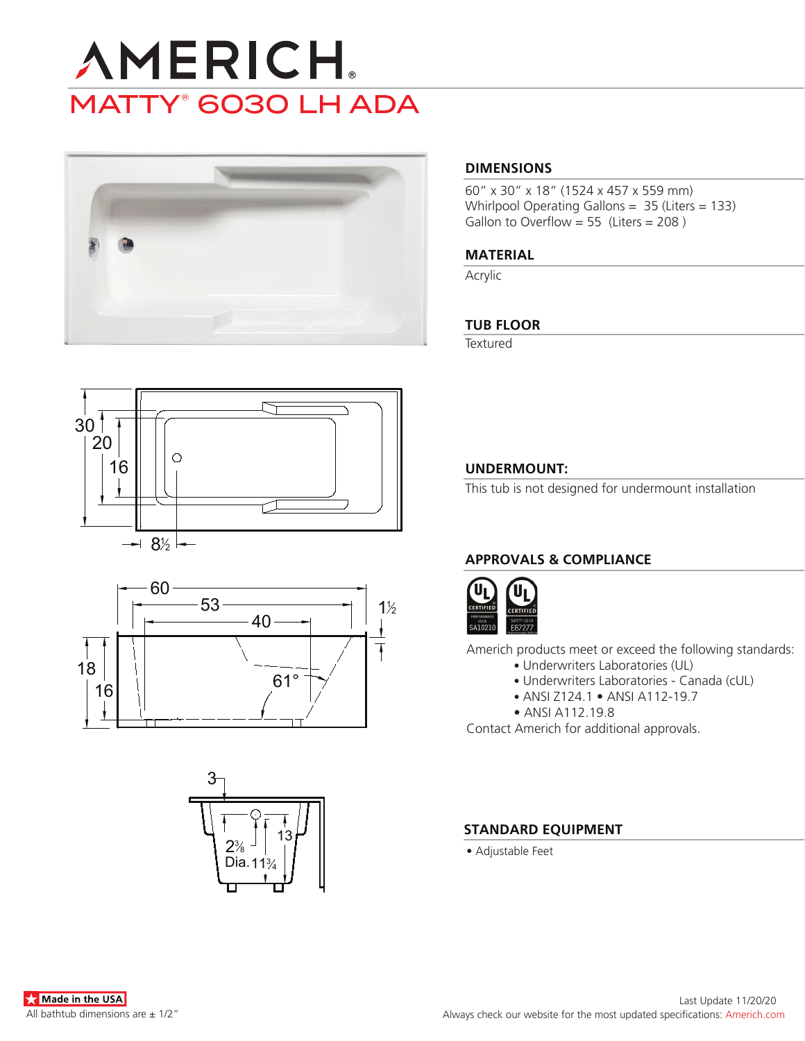# **AMERICH.** MATTY® 6030 LH ADA



#### **DIMENSIONS**

60" x 30" x 18" (1524 x 457 x 559 mm) Whirlpool Operating Gallons = 35 (Liters = 133) Gallon to Overflow = 55 (Liters = 208)

#### **MATERIAL**

Acrylic

#### **TUB FLOOR**

**Textured** 







### **UNDERMOUNT:**

This tub is not designed for undermount installation

# **APPROVALS & COMPLIANCE**



Americh products meet or exceed the following standards:

- Underwriters Laboratories (UL)
	- Underwriters Laboratories Canada (cUL)
	- ANSI Z124.1 ANSI A112-19.7
- ANSI A112.19.8

Contact Americh for additional approvals.

#### **STANDARD EQUIPMENT**

• Adjustable Feet